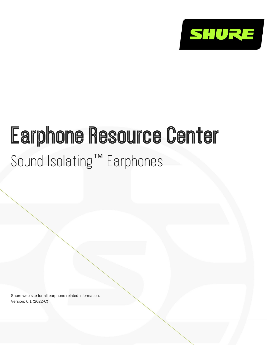

# Earphone Resource Center Sound Isolating™ Earphones

Shure web site for all earphone related information. Version: 6.1 (2022-C)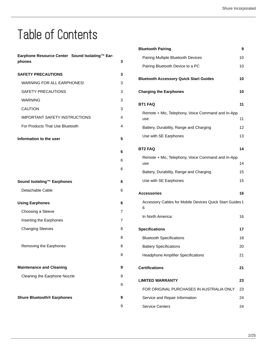## Table of Contents

| Earphone Resource Center Sound Isolating™ Ear- |   |
|------------------------------------------------|---|
| phones                                         | 3 |
| <b>SAFETY PRECAUTIONS</b>                      | 3 |
| WARNING FOR ALL EARPHONES!                     | 3 |
| SAFETY PRECAUTIONS                             | 3 |
| <b>WARNING</b>                                 | 3 |
| <b>CAUTION</b>                                 | 3 |
| <b>IMPORTANT SAFETY INSTRUCTIONS</b>           | 4 |
| For Products That Use Bluetooth                | 4 |
| Information to the user                        | 5 |
|                                                | 6 |
|                                                | 6 |
|                                                | 6 |
| Sound Isolating™ Earphones                     | 6 |
| Detachable Cable                               | 6 |
| <b>Using Earphones</b>                         | 6 |
| Choosing a Sleeve                              | 7 |
| Inserting the Earphones                        | 7 |
| <b>Changing Sleeves</b>                        | 8 |
|                                                | 8 |
| Removing the Earphones                         | 8 |
|                                                | 8 |
| <b>Maintenance and Cleaning</b>                | 9 |
| Cleaning the Earphone Nozzle                   | 9 |
|                                                | 9 |
| <b>Shure Bluetooth® Earphones</b>              | 9 |
|                                                | 9 |

| <b>Bluetooth Pairing</b>                                      | 9  |
|---------------------------------------------------------------|----|
| Pairing Multiple Bluetooth Devices                            | 10 |
| Pairing Bluetooth Device to a PC                              | 10 |
| <b>Bluetooth Accessory Quick Start Guides</b>                 | 10 |
| <b>Charging the Earphones</b>                                 | 10 |
| <b>BT1 FAQ</b>                                                | 11 |
| Remote + Mic, Telephony, Voice Command and In-App<br>use      | 11 |
| Battery, Durability, Range and Charging                       | 12 |
| Use with SE Earphones                                         | 13 |
| <b>BT2 FAQ</b>                                                | 14 |
| Remote + Mic, Telephony, Voice Command and In-App<br>use      | 14 |
| Battery, Durability, Range and Charging                       | 15 |
| Use with SE Earphones                                         | 15 |
| Accessories                                                   | 16 |
| Accessory Cables for Mobile Devices Quick Start Guides 1<br>6 |    |
| In North America:                                             | 16 |
| <b>Specifications</b>                                         | 17 |
| <b>Bluetooth Specifications</b>                               | 18 |
| <b>Battery Specifications</b>                                 | 20 |
| <b>Headphone Amplifier Specifications</b>                     | 21 |
| <b>Certifications</b>                                         | 21 |
| <b>LIMITED WARRANTY</b>                                       | 23 |
| FOR ORIGINAL PURCHASES IN AUSTRALIA ONLY                      | 23 |
| Service and Repair Information                                | 24 |
| <b>Service Centers</b>                                        | 24 |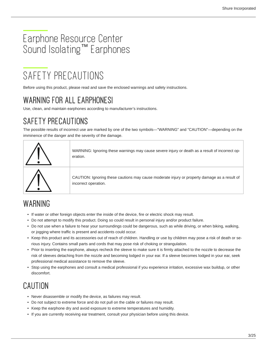## <span id="page-2-0"></span>Earphone Resource Center Sound Isolating<sup>™</sup> Earphones

## <span id="page-2-1"></span>SAFETY PRECAUTIONS

Before using this product, please read and save the enclosed warnings and safety instructions.

## <span id="page-2-2"></span>WARNING FOR ALL EARPHONES!

Use, clean, and maintain earphones according to manufacturer's instructions.

## <span id="page-2-3"></span>SAFETY PRECAUTIONS

The possible results of incorrect use are marked by one of the two symbols—"WARNING" and "CAUTION"—depending on the imminence of the danger and the severity of the damage.



## <span id="page-2-4"></span>WARNING

- If water or other foreign objects enter the inside of the device, fire or electric shock may result.
- Do not attempt to modify this product. Doing so could result in personal injury and/or product failure.
- Do not use when a failure to hear your surroundings could be dangerous, such as while driving, or when biking, walking, or jogging where traffic is present and accidents could occur.
- Keep this product and its accessories out of reach of children. Handling or use by children may pose a risk of death or serious injury. Contains small parts and cords that may pose risk of choking or strangulation.
- Prior to inserting the earphone, always recheck the sleeve to make sure it is firmly attached to the nozzle to decrease the risk of sleeves detaching from the nozzle and becoming lodged in your ear. If a sleeve becomes lodged in your ear, seek professional medical assistance to remove the sleeve.
- Stop using the earphones and consult a medical professional if you experience irritation, excessive wax buildup, or other discomfort.

## <span id="page-2-5"></span>CAUTION

- Never disassemble or modify the device, as failures may result.
- Do not subject to extreme force and do not pull on the cable or failures may result.
- Keep the earphone dry and avoid exposure to extreme temperatures and humidity.
- If you are currently receiving ear treatment, consult your physician before using this device.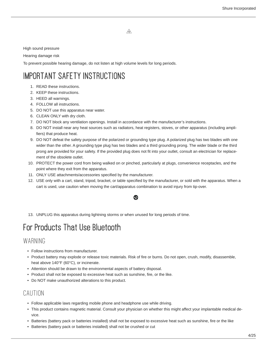⚠

High sound pressure

Hearing damage risk

To prevent possible hearing damage, do not listen at high volume levels for long periods.

## <span id="page-3-0"></span>IMPORTANT SAFETY INSTRUCTIONS

- 1. READ these instructions.
- 2. KEEP these instructions.
- 3. HEED all warnings.
- 4. FOLLOW all instructions.
- 5. DO NOT use this apparatus near water.
- 6. CLEAN ONLY with dry cloth.
- 7. DO NOT block any ventilation openings. Install in accordance with the manufacturer's instructions.
- 8. DO NOT install near any heat sources such as radiators, heat registers, stoves, or other apparatus (including amplifiers) that produce heat.
- 9. DO NOT defeat the safety purpose of the polarized or grounding type plug. A polarized plug has two blades with one wider than the other. A grounding type plug has two blades and a third grounding prong. The wider blade or the third prong are provided for your safety. If the provided plug does not fit into your outlet, consult an electrician for replacement of the obsolete outlet.
- 10. PROTECT the power cord from being walked on or pinched, particularly at plugs, convenience receptacles, and the point where they exit from the apparatus.
- 11. ONLY USE attachments/accessories specified by the manufacturer.
- 12. USE only with a cart, stand, tripod, bracket, or table specified by the manufacturer, or sold with the apparatus. When a cart is used, use caution when moving the cart/apparatus combination to avoid injury from tip-over.

⋒

13. UNPLUG this apparatus during lightning storms or when unused for long periods of time.

## <span id="page-3-1"></span>For Products That Use Bluetooth

#### WARNING

- Follow instructions from manufacturer.
- Product battery may explode or release toxic materials. Risk of fire or burns. Do not open, crush, modify, disassemble, heat above 140°F (60°C), or incinerate.
- Attention should be drawn to the environmental aspects of battery disposal.
- Product shall not be exposed to excessive heat such as sunshine, fire, or the like.
- Do NOT make unauthorized alterations to this product.

### CAUTION

- Follow applicable laws regarding mobile phone and headphone use while driving.
- This product contains magnetic material. Consult your physician on whether this might affect your implantable medical device.
- Batteries (battery pack or batteries installed) shall not be exposed to excessive heat such as sunshine, fire or the like
- Batteries (battery pack or batteries installed) shall not be crushed or cut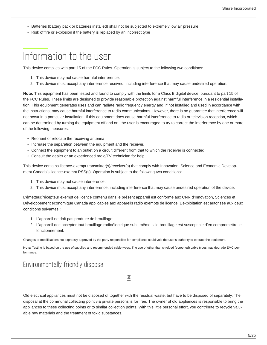- Batteries (battery pack or batteries installed) shall not be subjected to extremely low air pressure
- Risk of fire or explosion if the battery is replaced by an incorrect type

## <span id="page-4-0"></span>Information to the user

This device complies with part 15 of the FCC Rules. Operation is subject to the following two conditions:

- 1. This device may not cause harmful interference.
- 2. This device must accept any interference received, including interference that may cause undesired operation.

**Note:** This equipment has been tested and found to comply with the limits for a Class B digital device, pursuant to part 15 of the FCC Rules. These limits are designed to provide reasonable protection against harmful interference in a residential installation. This equipment generates uses and can radiate radio frequency energy and, if not installed and used in accordance with the instructions, may cause harmful interference to radio communications. However, there is no guarantee that interference will not occur in a particular installation. If this equipment does cause harmful interference to radio or television reception, which can be determined by turning the equipment off and on, the user is encouraged to try to correct the interference by one or more of the following measures:

- Reorient or relocate the receiving antenna.
- Increase the separation between the equipment and the receiver.
- Connect the equipment to an outlet on a circuit different from that to which the receiver is connected.
- Consult the dealer or an experienced radio/TV technician for help.

This device contains licence-exempt transmitter(s)/receiver(s) that comply with Innovation, Science and Economic Development Canada's licence-exempt RSS(s). Operation is subject to the following two conditions:

- 1. This device may not cause interference.
- 2. This device must accept any interference, including interference that may cause undesired operation of the device.

L'émetteur/récepteur exempt de licence contenu dans le présent appareil est conforme aux CNR d'Innovation, Sciences et Développement économique Canada applicables aux appareils radio exempts de licence. L'exploitation est autorisée aux deux conditions suivantes :

- 1. L'appareil ne doit pas produire de brouillage;
- 2. L'appareil doit accepter tout brouillage radioélectrique subi, même si le brouillage est susceptible d'en compromettre le fonctionnement.

Changes or modifications not expressly approved by the party responsible for compliance could void the user's authority to operate the equipment.

**Note:** Testing is based on the use of supplied and recommended cable types. The use of other than shielded (screened) cable types may degrade EMC performance.

#### Environmentally friendly disposal

 $\cancel{\mathbb{R}}$ 

Old electrical appliances must not be disposed of together with the residual waste, but have to be disposed of separately. The disposal at the communal collecting point via private persons is for free. The owner of old appliances is responsible to bring the appliances to these collecting points or to similar collection points. With this little personal effort, you contribute to recycle valuable raw materials and the treatment of toxic substances.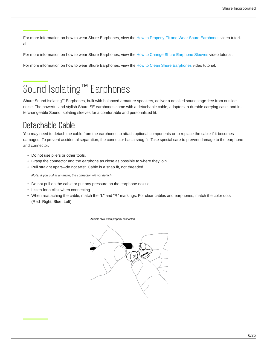<span id="page-5-0"></span>For more information on how to wear Shure Earphones, view the [How to Properly Fit and Wear Shure Earphones](https://www.youtube.com/watch?v=5bgR_H3RFpE) video tutorial.

<span id="page-5-1"></span>For more information on how to wear Shure Earphones, view the [How to Change Shure Earphone Sleeves](https://www.youtube.com/watch?v=Df9H5SHPZ2E) video tutorial.

<span id="page-5-2"></span>For more information on how to wear Shure Earphones, view the [How to Clean Shure Earphones](https://www.youtube.com/watch?v=NHX1Gepj8lE) video tutorial.

## <span id="page-5-3"></span>Sound Isolating<sup>™</sup> Earphones

Shure Sound Isolating™ Earphones, built with balanced armature speakers, deliver a detailed soundstage free from outside noise. The powerful and stylish Shure SE earphones come with a detachable cable, adapters, a durable carrying case, and interchangeable Sound Isolating sleeves for a comfortable and personalized fit.

## <span id="page-5-4"></span>Detachable Cable

You may need to detach the cable from the earphones to attach optional components or to replace the cable if it becomes damaged. To prevent accidental separation, the connector has a snug fit. Take special care to prevent damage to the earphone and connector.

- Do not use pliers or other tools.
- Grasp the connector and the earphone as close as possible to where they join.
- Pull straight apart—do not twist. Cable is a snap fit, not threaded.

*Note: If you pull at an angle, the connector will not detach.*

- Do not pull on the cable or put any pressure on the earphone nozzle.
- Listen for a click when connecting.
- When reattaching the cable, match the "L" and "R" markings. For clear cables and earphones, match the color dots (Red=Right, Blue=Left).

<span id="page-5-5"></span>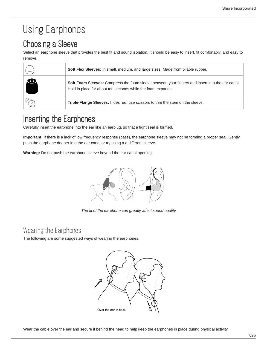## Using Earphones

## <span id="page-6-0"></span>Choosing a Sleeve

Select an earphone sleeve that provides the best fit and sound isolation. It should be easy to insert, fit comfortably, and easy to remove.

|   | Soft Flex Sleeves: In small, medium, and large sizes. Made from pliable rubber.                                                                                |
|---|----------------------------------------------------------------------------------------------------------------------------------------------------------------|
| G | Soft Foam Sleeves: Compress the foam sleeve between your fingers and insert into the ear canal.<br>Hold in place for about ten seconds while the foam expands. |
|   | Triple-Flange Sleeves: If desired, use scissors to trim the stem on the sleeve.                                                                                |

## <span id="page-6-1"></span>Inserting the Earphones

Carefully insert the earphone into the ear like an earplug, so that a tight seal is formed.

**Important:** If there is a lack of low frequency response (bass), the earphone sleeve may not be forming a proper seal. Gently push the earphone deeper into the ear canal or try using a a different sleeve.

**Warning:** Do not push the earphone sleeve beyond the ear canal opening.



*The fit of the earphone can greatly affect sound quality.*

#### Wearing the Earphones

The following are some suggested ways of wearing the earphones.

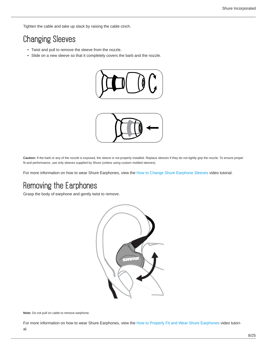Tighten the cable and take up slack by raising the cable cinch.

## <span id="page-7-0"></span>Changing Sleeves

- Twist and pull to remove the sleeve from the nozzle.
- Slide on a new sleeve so that it completely covers the barb and the nozzle.





**Caution:** If the barb or any of the nozzle is exposed, the sleeve is not properly installed. Replace sleeves if they do not tightly grip the nozzle. To ensure proper fit and performance, use only sleeves supplied by Shure (unless using custom molded sleeves).

<span id="page-7-1"></span>For more information on how to wear Shure Earphones, view the [How to Change Shure Earphone Sleeves](https://www.youtube.com/watch?v=Df9H5SHPZ2E) video tutorial.

## <span id="page-7-2"></span>Removing the Earphones

Grasp the body of earphone and gently twist to remove.



**Note:** Do not pull on cable to remove earphone.

<span id="page-7-3"></span>For more information on how to wear Shure Earphones, view the [How to Properly Fit and Wear Shure Earphones](https://www.youtube.com/watch?v=5bgR_H3RFpE) video tutorial.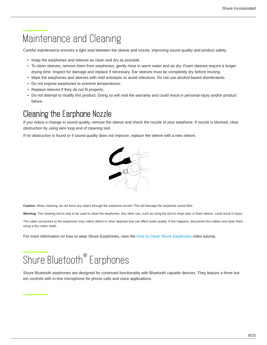## <span id="page-8-0"></span>Maintenance and Cleaning

Careful maintenance ensures a tight seal between the sleeve and nozzle, improving sound quality and product safety.

- Keep the earphones and sleeves as clean and dry as possible.
- To clean sleeves, remove them from earphones, gently rinse in warm water and air dry. Foam sleeves require a longer drying time. Inspect for damage and replace if necessary. Ear sleeves must be completely dry before reusing.
- Wipe the earphones and sleeves with mild antiseptic to avoid infections. Do not use alcohol-based disinfectants.
- Do not expose earphones to extreme temperatures.
- Replace sleeves if they do not fit properly.
- Do not attempt to modify this product. Doing so will void the warranty and could result in personal injury and/or product failure.

### <span id="page-8-1"></span>Cleaning the Earphone Nozzle

If you notice a change in sound quality, remove the sleeve and check the nozzle of your earphone. If nozzle is blocked, clear obstruction by using wire loop end of cleaning tool.

If no obstruction is found or if sound quality does not improve, replace the sleeve with a new sleeve.



**Caution:** When cleaning, do not force any object through the earphone nozzle! This will damage the earphone sound filter.

Warning: The cleaning tool is only to be used to clean the earphones. Any other use, such as using the tool to clean ears or foam sleeve, could result in injury.

The cable connectors to the earphones may collect debris or other deposits that can affect audio quality. If this happens, disconnect the cables and clean them using a dry cotton swab.

<span id="page-8-2"></span>For more information on how to wear Shure Earphones, view the [How to Clean Shure Earphones](https://www.youtube.com/watch?v=NHX1Gepj8lE) video tutorial.

## <span id="page-8-3"></span>Shure Bluetooth® Earphones

<span id="page-8-5"></span><span id="page-8-4"></span>Shure Bluetooth earphones are designed for continued functionality with Bluetooth capable devices. They feature a three button controls with in-line microphone for phone calls and voice applications.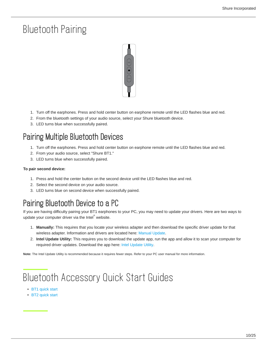## Bluetooth Pairing



- 1. Turn off the earphones. Press and hold center button on earphone remote until the LED flashes blue and red.
- 2. From the bluetooth settings of your audio source, select your Shure bluetooth device.
- 3. LED turns blue when successfully paired.

### <span id="page-9-0"></span>Pairing Multiple Bluetooth Devices

- 1. Turn off the earphones. Press and hold center button on earphone remote until the LED flashes blue and red.
- 2. From your audio source, select "Shure BT1."
- 3. LED turns blue when successfully paired.

#### **To pair second device:**

- 1. Press and hold the center button on the second device until the LED flashes blue and red.
- 2. Select the second device on your audio source.
- 3. LED turns blue on second device when successfully paired.

## <span id="page-9-1"></span>Pairing Bluetooth Device to a PC

If you are having difficulty pairing your BT1 earphones to your PC, you may need to update your drivers. Here are two ways to update your computer driver via the Intel $\degree$  website.

- 1. **Manually:** This requires that you locate your wireless adapter and then download the specific driver update for that wireless adapter. Information and drivers are located here: [Manual Update.](https://www.intel.com/content/www/us/en/support/network-and-i-o/wireless-networking/000005489.html)
- 2. **Intel Update Utility:** This requires you to download the update app, run the app and allow it to scan your computer for required driver updates. Download the app here: [Intel Update Utility.](https://www.intel.com/content/www/us/en/support/detect.html?wapkw=update+utility)

**Note:** The Intel Update Utility is recommended because it requires fewer steps. Refer to your PC user manual for more information.

## <span id="page-9-2"></span>Bluetooth Accessory Quick Start Guides

- [BT1 quick start](http://pubs.shure.com/quickstart/BT1/en-US)
- <span id="page-9-3"></span>• [BT2 quick start](http://pubs.shure.com/quickstart/BT2/en-US)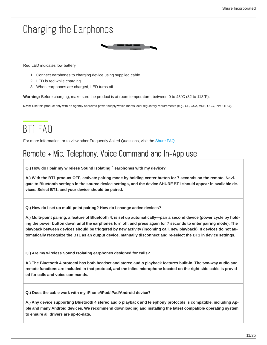## Charging the Earphones

Red LED indicates low battery.

- 1. Connect earphones to charging device using supplied cable.
- 2. LED is red while charging.
- 3. When earphones are charged, LED turns off.

**Warning:** Before charging, make sure the product is at room temperature, between 0 to 45°C (32 to 113°F).

**Note:** Use this product only with an agency approved power supply which meets local regulatory requirements (e.g., UL, CSA, VDE, CCC, INMETRO).

## <span id="page-10-0"></span>BT1 FAQ

For more information, or to view other Frequently Asked Questions, visit the [Shure FAQ.](https://www.shure.com/americas/support/find-an-answer)

### <span id="page-10-1"></span>Remote + Mic, Telephony, Voice Command and In-App use

**Q.) How do I pair my wireless Sound Isolating™ earphones with my device?**

**A.) With the BT1 product OFF, activate pairing mode by holding center button for 7 seconds on the remote. Navigate to Bluetooth settings in the source device settings, and the device SHURE BT1 should appear in available devices. Select BT1, and your device should be paired.**

**Q.) How do I set up multi-point pairing? How do I change active devices?**

A.) Multi-point pairing, a feature of Bluetooth 4, is set up automatically—pair a second device (power cycle by hold**ing the power button down until the earphones turn off, and press again for 7 seconds to enter pairing mode). The playback between devices should be triggered by new activity (incoming call, new playback). If devices do not automatically recognize the BT1 as an output device, manually disconnect and re-select the BT1 in device settings.**

**Q.) Are my wireless Sound Isolating earphones designed for calls?**

**A.) The Bluetooth 4 protocol has both headset and stereo audio playback features built-in. The two-way audio and remote functions are included in that protocol, and the inline microphone located on the right side cable is provided for calls and voice commands.**

**Q.) Does the cable work with my iPhone/iPod/iPad/Android device?**

**A.) Any device supporting Bluetooth 4 stereo audio playback and telephony protocols is compatible, including Apple and many Android devices. We recommend downloading and installing the latest compatible operating system to ensure all drivers are up-to-date.**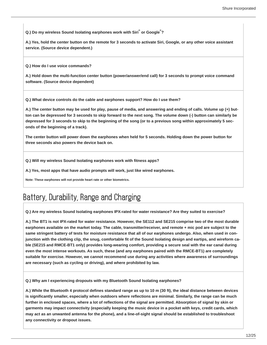**Q.)** Do my wireless Sound Isolating earphones work with Siri $^{\circ}$  or Google $^{\circ}$ ?

**A.) Yes, hold the center button on the remote for 3 seconds to activate Siri, Google, or any other voice assistant service. (Source device dependent.)**

**Q.) How do I use voice commands?**

**A.) Hold down the multi-function center button (power/answer/end call) for 3 seconds to prompt voice command software. (Source device dependent)**

**Q.) What device controls do the cable and earphones support? How do I use them?**

**A.) The center button may be used for play, pause of media, and answering and ending of calls. Volume up (+) button can be depressed for 3 seconds to skip forward to the next song. The volume down (-) button can similarly be depressed for 3 seconds to skip to the beginning of the song (or to a previous song within approximately 5 seconds of the beginning of a track).**

**The center button will power down the earphones when held for 5 seconds. Holding down the power button for three seconds also powers the device back on.**

**Q.) Will my wireless Sound Isolating earphones work with fitness apps?**

**A.) Yes, most apps that have audio prompts will work, just like wired earphones.**

**Note: These earphones will not provide heart rate or other biometrics.**

### <span id="page-11-0"></span>Battery, Durability, Range and Charging

**Q.) Are my wireless Sound Isolating earphones IPX-rated for water resistance? Are they suited to exercise?**

**A.) The BT1 is not IPX-rated for water resistance. However, the SE112 and SE215 comprise two of the most durable earphones available on the market today. The cable, transmitter/receiver, and remote + mic pod are subject to the same stringent battery of tests for moisture resistance that all of our earphones undergo. Also, when used in conjunction with the clothing clip, the snug, comfortable fit of the Sound Isolating design and eartips, and wireform cable (SE215 and RMCE-BT1 only) provides long-wearing comfort, providing a secure seal with the ear canal during even the most intense workouts. As such, these (and any earphones paired with the RMCE-BT1) are completely suitable for exercise. However, we cannot recommend use during any activities where awareness of surroundings are necessary (such as cycling or driving), and where prohibited by law.**

**Q.) Why am I experiencing dropouts with my Bluetooth Sound Isolating earphones?**

**A.) While the Bluetooth 4 protocol defines standard range as up to 10 m (30 ft), the ideal distance between devices is significantly smaller, especially when outdoors where reflections are minimal. Similarly, the range can be much further in enclosed spaces, where a lot of reflections of the signal are permitted. Absorption of signal by skin or garments may impact connectivity (especially keeping the music device in a pocket with keys, credit cards, which may act as an unwanted antenna for the phone), and a line-of-sight signal should be established to troubleshoot any connectivity or dropout issues.**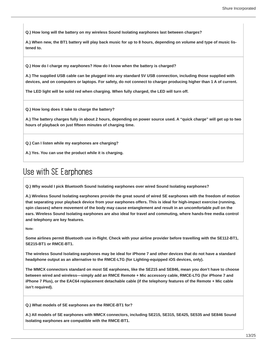**Q.) How long will the battery on my wireless Sound Isolating earphones last between charges?**

**A.) When new, the BT1 battery will play back music for up to 8 hours, depending on volume and type of music listened to.**

**Q.) How do I charge my earphones? How do I know when the battery is charged?**

**A.) The supplied USB cable can be plugged into any standard 5V USB connection, including those supplied with devices, and on computers or laptops. For safety, do not connect to charger producing higher than 1 A of current.**

**The LED light will be solid red when charging. When fully charged, the LED will turn off.**

**Q.) How long does it take to charge the battery?**

**A.) The battery charges fully in about 2 hours, depending on power source used. A "quick charge" will get up to two hours of playback on just fifteen minutes of charging time.**

**Q.) Can I listen while my earphones are charging?**

**A.) Yes. You can use the product while it is charging.**

### <span id="page-12-0"></span>Use with SE Earphones

**Q.) Why would I pick Bluetooth Sound Isolating earphones over wired Sound Isolating earphones?**

**A.) Wireless Sound Isolating earphones provide the great sound of wired SE earphones with the freedom of motion that separating your playback device from your earphones offers. This is ideal for high-impact exercise (running, spin classes) where movement of the body may cause entanglement and result in an uncomfortable pull on the ears. Wireless Sound Isolating earphones are also ideal for travel and commuting, where hands-free media control and telephony are key features.**

**Note:**

**Some airlines permit Bluetooth use in-flight. Check with your airline provider before travelling with the SE112-BT1, SE215-BT1 or RMCE-BT1.**

**The wireless Sound Isolating earphones may be ideal for iPhone 7 and other devices that do not have a standard headphone output as an alternative to the RMCE-LTG (for Lighting-equipped iOS devices, only).**

**The MMCX connectors standard on most SE earphones, like the SE215 and SE846, mean you don't have to choose between wired and wireless—simply add an RMCE Remote + Mic accessory cable, RMCELTG (for iPhone 7 and iPhone 7 Plus), or the EAC64 replacement detachable cable (if the telephony features of the Remote + Mic cable isn't required).**

**Q.) What models of SE earphones are the RMCE-BT1 for?**

**A.) All models of SE earphones with MMCX connectors, including SE215, SE315, SE425, SE535 and SE846 Sound Isolating earphones are compatible with the RMCE-BT1.**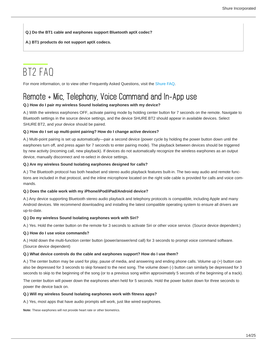**Q.) Do the BT1 cable and earphones support Bluetooth aptX codec?**

**A.) BT1 products do not support aptX codecs.**

## <span id="page-13-0"></span>BT2 FAQ

For more information, or to view other Frequently Asked Questions, visit the [Shure FAQ.](https://www.shure.com/americas/support/find-an-answer)

## <span id="page-13-1"></span>Remote + Mic, Telephony, Voice Command and In-App use

#### **Q.) How do I pair my wireless Sound Isolating earphones with my device?**

A.) With the wireless earphones OFF, activate pairing mode by holding center button for 7 seconds on the remote. Navigate to Bluetooth settings in the source device settings, and the device SHURE BT2 should appear in available devices. Select SHURE BT2, and your device should be paired.

#### **Q.) How do I set up multi-point pairing? How do I change active devices?**

A.) Multi-point pairing is set up automatically—pair a second device (power cycle by holding the power button down until the earphones turn off, and press again for 7 seconds to enter pairing mode). The playback between devices should be triggered by new activity (incoming call, new playback). If devices do not automatically recognize the wireless earphones as an output device, manually disconnect and re-select in device settings.

#### **Q.) Are my wireless Sound Isolating earphones designed for calls?**

A.) The Bluetooth protocol has both headset and stereo audio playback features built-in. The two-way audio and remote functions are included in that protocol, and the inline microphone located on the right side cable is provided for calls and voice commands.

#### **Q.) Does the cable work with my iPhone/iPod/iPad/Android device?**

A.) Any device supporting Bluetooth stereo audio playback and telephony protocols is compatible, including Apple and many Android devices. We recommend downloading and installing the latest compatible operating system to ensure all drivers are up-to-date.

#### **Q.) Do my wireless Sound Isolating earphones work with Siri?**

A.) Yes. Hold the center button on the remote for 3 seconds to activate Siri or other voice service. (Source device dependent.)

#### **Q.) How do I use voice commands?**

A.) Hold down the multi-function center button (power/answer/end call) for 3 seconds to prompt voice command software. (Source device dependent)

#### **Q.) What device controls do the cable and earphones support? How do I use them?**

A.) The center button may be used for play, pause of media, and answering and ending phone calls. Volume up (+) button can also be depressed for 3 seconds to skip forward to the next song. The volume down (-) button can similarly be depressed for 3 seconds to skip to the beginning of the song (or to a previous song within approximately 5 seconds of the beginning of a track).

The center button will power down the earphones when held for 5 seconds. Hold the power button down for three seconds to power the device back on.

#### **Q.) Will my wireless Sound Isolating earphones work with fitness apps?**

A.) Yes, most apps that have audio prompts will work, just like wired earphones.

**Note:** These earphones will not provide heart rate or other biometrics.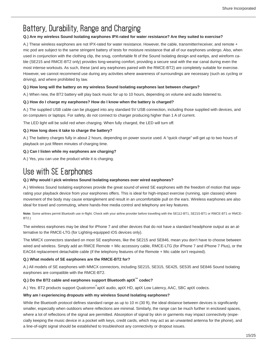## <span id="page-14-0"></span>Battery, Durability, Range and Charging

#### **Q.) Are my wireless Sound Isolating earphones IPX-rated for water resistance? Are they suited to exercise?**

A.) These wireless earphones are not IPX-rated for water resistance. However, the cable, transmitter/receiver, and remote + mic pod are subject to the same stringent battery of tests for moisture resistance that all of our earphones undergo. Also, when used in conjunction with the clothing clip, the snug, comfortable fit of the Sound Isolating design and eartips, and wireform cable (SE215 and RMCE-BT2 only) provides long-wearing comfort, providing a secure seal with the ear canal during even the most intense workouts. As such, these (and any earphones paired with the RMCE-BT2) are completely suitable for exercise. However, we cannot recommend use during any activities where awareness of surroundings are necessary (such as cycling or driving), and where prohibited by law.

#### **Q.) How long will the battery on my wireless Sound Isolating earphones last between charges?**

A.) When new, the BT2 battery will play back music for up to 10 hours, depending on volume and audio listened to.

#### **Q.) How do I charge my earphones? How do I know when the battery is charged?**

A.) The supplied USB cable can be plugged into any standard 5V USB connection, including those supplied with devices, and on computers or laptops. For safety, do not connect to charger producing higher than 1 A of current.

The LED light will be solid red when charging. When fully charged, the LED will turn off.

#### **Q.) How long does it take to charge the battery?**

A.) The battery charges fully in about 2 hours, depending on power source used. A "quick charge" will get up to two hours of playback on just fifteen minutes of charging time.

#### **Q.) Can I listen while my earphones are charging?**

A.) Yes, you can use the product while it is charging.

### <span id="page-14-1"></span>Use with SE Earphones

#### **Q.) Why would I pick wireless Sound Isolating earphones over wired earphones?**

A.) Wireless Sound Isolating earphones provide the great sound of wired SE earphones with the freedom of motion that separating your playback device from your earphones offers. This is ideal for high-impact exercise (running, spin classes) where movement of the body may cause entanglement and result in an uncomfortable pull on the ears. Wireless earphones are also ideal for travel and commuting, where hands-free media control and telephony are key features.

**Note:** Some airlines permit Bluetooth use in-flight. Check with your airline provider before travelling with the SE112-BT1, SE215-BT1 or RMCE-BT1 or RMCE-BT2.)

The wireless earphones may be ideal for iPhone 7 and other devices that do not have a standard headphone output as an alternative to the RMCE-LTG (for Lighting-equipped iOS devices only).

The MMCX connectors standard on most SE earphones, like the SE215 and SE846, mean you don't have to choose between wired and wireless. Simply add an RMCE Remote + Mic accessory cable, RMCE-LTG (for iPhone 7 and iPhone 7 Plus), or the EAC64 replacement detachable cable (if the telephony features of the Remote + Mic cable isn't required).

#### **Q.) What models of SE earphones are the RMCE-BT2 for?**

A.) All models of SE earphones with MMCX connectors, including SE215, SE315, SE425, SE535 and SE846 Sound Isolating earphones are compatible with the RMCE-BT2.

#### **Q.) Do the BT2 cable and earphones support Bluetooth aptX™ codec?**

A.) Yes. BT2 products support Qualcomm®aptX audio, aptX HD, aptX Low Latency, AAC, SBC aptX codecs.

#### **Why am I experiencing dropouts with my wireless Sound Isolating earphones?**

While the Bluetooth protocol defines standard range as up to 10 m (30 ft), the ideal distance between devices is significantly smaller, especially when outdoors where reflections are minimal. Similarly, the range can be much further in enclosed spaces, where a lot of reflections of the signal are permitted. Absorption of signal by skin or garments may impact connectivity (especially keeping the music device in a pocket with keys, credit cards, which may act as an unwanted antenna for the phone), and a line-of-sight signal should be established to troubleshoot any connectivity or dropout issues.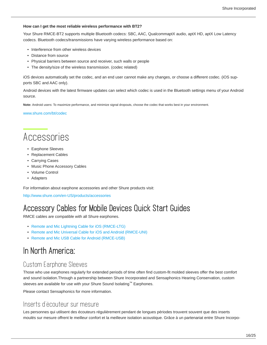#### **How can I get the most reliable wireless performance with BT2?**

Your Shure RMCE-BT2 supports multiple Bluetooth codecs: SBC, AAC, QualcommaptX audio, aptX HD, aptX Low Latency codecs. Bluetooth codecs/transmissions have varying wireless performance based on:

- Interference from other wireless devices
- Distance from source
- Physical barriers between source and receiver, such walls or people
- The density/size of the wireless transmission. (codec related)

iOS devices automatically set the codec, and an end user cannot make any changes, or choose a different codec. (iOS supports SBC and AAC only).

Android devices with the latest firmware updates can select which codec is used in the Bluetooth settings menu of your Android source.

**Note:** Android users: To maximize performance, and minimize signal dropouts, choose the codec that works best in your environment.

#### [www.shure.com/bt/codec](file:/xina/apache/htdocs/content/pubs/pdf/www.shure.com/bt/codec)

## <span id="page-15-0"></span>Accessories

- Earphone Sleeves
- Replacement Cables
- Carrying Cases
- Music Phone Accessory Cables
- Volume Control
- Adapters

For information about earphone accessories and other Shure products visit:

<http://www.shure.com/en-US/products/accessories>

### <span id="page-15-1"></span>Accessory Cables for Mobile Devices Quick Start Guides

RMCE cables are compatible with all Shure earphones.

- [Remote and Mic Lightning Cable for iOS \(RMCE-LTG\)](http://pubs.shure.com/guide/RMCE-LTG/en-US)
- [Remote and Mic Universal Cable for iOS and Android \(RMCE-UNI\)](http://pubs.shure.com/guide/RMCE-UNI/en-US)
- [Remote and Mic USB Cable for Android \(RMCE-USB\)](http://pubs.shure.com/guide/RMCE-USB/en-US)

### <span id="page-15-2"></span>In North America:

#### Custom Earphone Sleeves

Those who use earphones regularly for extended periods of time often find custom-fit molded sleeves offer the best comfort and sound isolation.Through a partnership between Shure Incorporated and Sensaphonics Hearing Conservation, custom sleeves are available for use with your Shure Sound Isolating™ Earphones.

Please contact Sensaphonics for more information.

#### Inserts d'écouteur sur mesure

Les personnes qui utilisent des écouteurs régulièrement pendant de longues périodes trouvent souvent que des inserts moulés sur mesure offrent le meilleur confort et la meilleure isolation acoustique. Grâce à un partenariat entre Shure Incorpo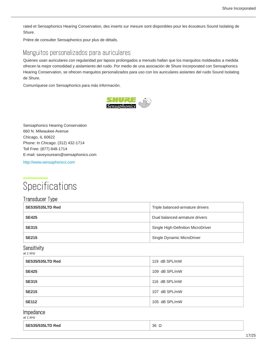rated et Sensaphonics Hearing Conservation, des inserts sur mesure sont disponibles pour les écouteurs Sound Isolating de Shure.

Prière de consulter Sensaphonics pour plus de détails.

#### Manguitos personalizados para auriculares

Quienes usan auriculares con regularidad por lapsos prolongados a menudo hallan que los manguitos moldeados a medida ofrecen la mejor comodidad y aislamiento del ruido. Por medio de una asociación de Shure Incorporated con Sensaphonics Hearing Conservation, se ofrecen manguitos personalizados para uso con los auriculares aislantes del ruido Sound Isolating de Shure.

Comuníquese con Sensaphonics para más información.



Sensaphonics Hearing Conservation 660 N. Milwaukee Avenue Chicago, IL 60622 Phone: In Chicago: (312) 432-1714 Toll Free: (877) 848-1714 E-mail: saveyourears@sensaphonics.com

<http://www.sensaphonics.com>

## <span id="page-16-0"></span>**Specifications**

#### Transducer Type

| <b>SE535/535LTD Red</b> | Triple balanced-armature drivers   |
|-------------------------|------------------------------------|
| <b>SE425</b>            | Dual balanced-armature drivers     |
| <b>SE315</b>            | Single High-Definition MicroDriver |
| <b>SE215</b>            | Single Dynamic MicroDriver         |

#### Sensitivity *at 1 kHz*

| $\frac{1}{2}$ $\frac{1}{2}$ |  |
|-----------------------------|--|
| 119 dB SPL/mW               |  |
| 109 dB SPL/mW               |  |
| 116 dB SPL/mW               |  |
| 107 dB SPL/mW               |  |
| 105 dB SPL/mW               |  |
|                             |  |

#### Impedance

*at 1 kHz*

| <b>SE535/535LTD Red</b> | $36\Omega$ |
|-------------------------|------------|
|-------------------------|------------|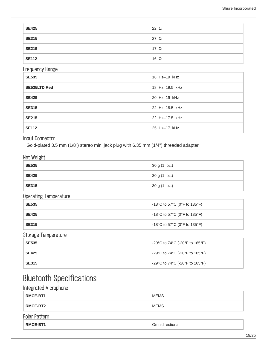| <b>SE425</b> | $22 \Omega$ |
|--------------|-------------|
| <b>SE315</b> | 27 Ω        |
| <b>SE215</b> | $17\Omega$  |
| <b>SE112</b> | $16\Omega$  |

#### Frequency Range

| <b>SE535</b>        | 18 Hz-19 kHz   |
|---------------------|----------------|
| <b>SE535LTD Red</b> | 18 Hz-19.5 kHz |
| <b>SE425</b>        | 20 Hz-19 kHz   |
| <b>SE315</b>        | 22 Hz-18.5 kHz |
| <b>SE215</b>        | 22 Hz-17.5 kHz |
| <b>SE112</b>        | 25 Hz-17 kHz   |

#### Input Connector

Gold-plated 3.5 mm (1/8") stereo mini jack plug with 6.35 mm (1/4") threaded adapter

#### Net Weight

| <b>SE535</b> | 30 g (1 oz.) |
|--------------|--------------|
| <b>SE425</b> | 30 g (1 oz.) |
| <b>SE315</b> | 30 g (1 oz.) |

#### Operating Temperature

| <b>SE535</b> | -18°C to 57°C (0°F to 135°F) |
|--------------|------------------------------|
| <b>SE425</b> | -18°C to 57°C (0°F to 135°F) |
| <b>SE315</b> | -18°C to 57°C (0°F to 135°F) |

#### Storage Temperature

| <b>SE535</b> | -29°C to 74°C (-20°F to 165°F) |
|--------------|--------------------------------|
| <b>SE425</b> | -29°C to 74°C (-20°F to 165°F) |
| <b>SE315</b> | -29°C to 74°C (-20°F to 165°F) |

## <span id="page-17-0"></span>Bluetooth Specifications

#### Integrated Microphone

| <b>RMCE-BT1</b> | <b>MEMS</b>     |
|-----------------|-----------------|
| RMCE-BT2        | <b>MEMS</b>     |
| Polar Pattern   |                 |
| <b>RMCE-BT1</b> | Omnidirectional |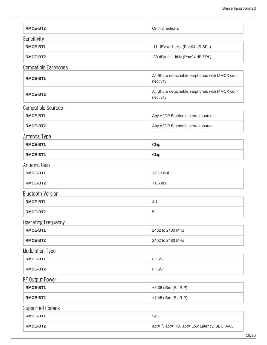| RMCE-BT2                    | Omnidirectional                                            |
|-----------------------------|------------------------------------------------------------|
| Sensitivity                 |                                                            |
| RMCE-BT1                    | -11 dBV at 1 kHz (Pa=94 dB SPL)                            |
| RMCE-BT2                    | -38 dBV at 1 kHz (Pa=94 dB SPL)                            |
| <b>Compatible Earphones</b> |                                                            |
| RMCE-BT1                    | All Shure detachable earphones with MMCX con-<br>nectivity |
| RMCE-BT2                    | All Shure detachable earphones with MMCX con-<br>nectivity |
| <b>Compatible Sources</b>   |                                                            |
| RMCE-BT1                    | Any A2DP Bluetooth stereo source                           |
| RMCE-BT2                    | Any A2DP Bluetooth stereo source                           |
| Antenna Type                |                                                            |
| RMCE-BT1                    | Chip                                                       |
| RMCE-BT2                    | Chip                                                       |
| Antenna Gain                |                                                            |
| RMCE-BT1                    | $+2.13$ dBi                                                |
| RMCE-BT2                    | $+1.6$ dBi                                                 |
| <b>Bluetooth Version</b>    |                                                            |
| <b>RMCE-BT1</b>             | 4.1                                                        |
| <b>RMCE-BT2</b>             | 5                                                          |
| <b>Operating Frequency</b>  |                                                            |
| RMCE-BT1                    | 2402 to 2480 MHz                                           |
| RMCE-BT2                    | 2402 to 2480 MHz                                           |
| <b>Modulation Type</b>      |                                                            |
| RMCE-BT1                    | <b>FHSS</b>                                                |
| RMCE-BT2                    | <b>FHSS</b>                                                |
| <b>RF Output Power</b>      |                                                            |
| RMCE-BT1                    | +5.38 dBm (E.I.R.P)                                        |
| RMCE-BT2                    | +7.45 dBm (E.I.R.P)                                        |
| <b>Supported Codecs</b>     |                                                            |
| RMCE-BT1                    | <b>SBC</b>                                                 |
| RMCE-BT2                    | aptX <sup>™</sup> , aptX HD, aptX Low Latency, SBC, AAC    |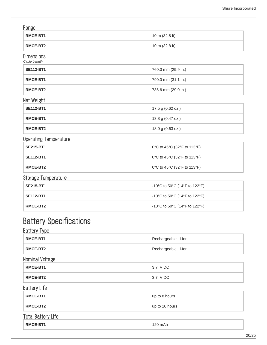#### Range

| - פי יי         |                          |
|-----------------|--------------------------|
| <b>RMCE-BT1</b> | $10 \text{ m}$ (32.8 ft) |
| RMCE-BT2        | $10 \text{ m}$ (32.8 ft) |

#### Dimensions

*Cable Length*

| <b>SE112-BT1</b> | 760.0 mm (29.9 in.) |
|------------------|---------------------|
| <b>RMCE-BT1</b>  | 790.0 mm (31.1 in.) |
| RMCE-BT2         | 736.6 mm (29.0 in.) |

#### Net Weight

| SE112-BT1 | 17.5 g (0.62 oz.) |
|-----------|-------------------|
| RMCE-BT1  | 13.8 g (0.47 oz.) |
| RMCE-BT2  | 18.0 g (0.63 oz.) |

#### Operating Temperature

| <b>SE215-BT1</b> | 0°C to 45°C (32°F to 113°F) |
|------------------|-----------------------------|
| <b>SE112-BT1</b> | 0°C to 45°C (32°F to 113°F) |
| RMCE-BT2         | 0°C to 45°C (32°F to 113°F) |

#### Storage Temperature

| <b>SE215-BT1</b> | -10°C to 50°C (14°F to 122°F)                                            |
|------------------|--------------------------------------------------------------------------|
| <b>SE112-BT1</b> | $-10^{\circ}$ C to 50 $^{\circ}$ C (14 $^{\circ}$ F to 122 $^{\circ}$ F) |
| RMCE-BT2         | $-10^{\circ}$ C to 50 $^{\circ}$ C (14 $^{\circ}$ F to 122 $^{\circ}$ F) |

## <span id="page-19-0"></span>Battery Specifications

| <b>Battery Type</b>       |                     |
|---------------------------|---------------------|
| RMCE-BT1                  | Rechargeable Li-Ion |
| RMCE-BT2                  | Rechargeable Li-Ion |
| Nominal Voltage           |                     |
| RMCE-BT1                  | 3.7 V DC            |
| RMCE-BT2                  | 3.7 V DC            |
| <b>Battery Life</b>       |                     |
| RMCE-BT1                  | up to 8 hours       |
| RMCE-BT2                  | up to 10 hours      |
| <b>Total Battery Life</b> |                     |
| RMCE-BT1                  | 120 mAh             |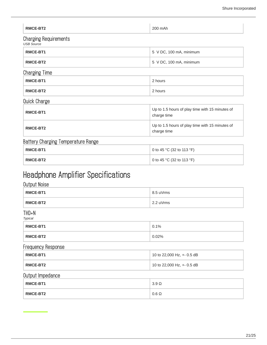| RMCE-BT2                                          | 200 mAh                                                        |
|---------------------------------------------------|----------------------------------------------------------------|
| <b>Charging Requirements</b><br><b>USB Source</b> |                                                                |
| RMCE-BT1                                          | 5 V DC, 100 mA, minimum                                        |
| RMCE-BT2                                          | 5 V DC, 100 mA, minimum                                        |
| <b>Charging Time</b>                              |                                                                |
| RMCE-BT1                                          | 2 hours                                                        |
| RMCE-BT2                                          | 2 hours                                                        |
| <b>Quick Charge</b>                               |                                                                |
| RMCE-BT1                                          | Up to 1.5 hours of play time with 15 minutes of<br>charge time |
| RMCE-BT2                                          | Up to 1.5 hours of play time with 15 minutes of<br>charge time |
| Battery Charging Temperature Range                |                                                                |
| RMCE-BT1                                          | 0 to 45 °C (32 to 113 °F)                                      |
| RMCE-BT2                                          | 0 to 45 °C (32 to 113 °F)                                      |

## <span id="page-20-0"></span>Headphone Amplifier Specifications

#### Output Noise

<span id="page-20-1"></span>

| RMCE-BT1                  | 8.5 uVrms                  |
|---------------------------|----------------------------|
| RMCE-BT2                  | 2.2 uVrms                  |
| THD+N<br><b>Typical</b>   |                            |
| RMCE-BT1                  | 0.1%                       |
| RMCE-BT2                  | 0.02%                      |
| <b>Frequency Response</b> |                            |
| RMCE-BT1                  | 10 to 22,000 Hz, +- 0.5 dB |
| RMCE-BT2                  | 10 to 22,000 Hz, +- 0.5 dB |
| Output Impedance          |                            |
| RMCE-BT1                  | $3.9\ \Omega$              |
| RMCE-BT2                  | $0.6\ \Omega$              |
|                           |                            |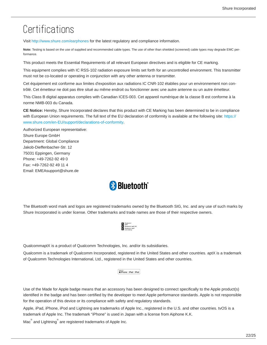## **Certifications**

Visit <http://www.shure.com/earphones>for the latest regulatory and compliance information.

**Note:** Testing is based on the use of supplied and recommended cable types. The use of other than shielded (screened) cable types may degrade EMC performance.

This product meets the Essential Requirements of all relevant European directives and is eligible for CE marking.

This equipment complies with IC RSS-102 radiation exposure limits set forth for an uncontrolled environment. This transmitter must not be co-located or operating in conjunction with any other antenna or transmitter.

Cet équipement est conforme aux limites d'exposition aux radiations IC CNR-102 établies pour un environnement non contrôlé. Cet émetteur ne doit pas être situé au même endroit ou fonctionner avec une autre antenne ou un autre émetteur.

This Class B digital apparatus complies with Canadian ICES-003. Cet appareil numérique de la classe B est conforme à la norme NMB-003 du Canada.

**CE Notice:** Hereby, Shure Incorporated declares that this product with CE Marking has been determined to be in compliance with European Union requirements. The full text of the EU declaration of conformity is available at the following site: [https://](https://www.shure.com/en-EU/support/declarations-of-conformity) [www.shure.com/en-EU/support/declarations-of-conformity](https://www.shure.com/en-EU/support/declarations-of-conformity).

Authorized European representative: Shure Europe GmbH Department: Global Compliance Jakob-Dieffenbacher-Str. 12 75031 Eppingen, Germany Phone: +49-7262-92 49 0 Fax: +49-7262-92 49 11 4 Email: EMEAsupport@shure.de



The Bluetooth word mark and logos are registered trademarks owned by the Bluetooth SIG, Inc. and any use of such marks by Shure Incorporated is under license. Other trademarks and trade names are those of their respective owners.



QualcommaptX is a product of Qualcomm Technologies, Inc. and/or its subsidiaries.

Qualcomm is a trademark of Qualcomm Incorporated, registered in the United States and other countries. aptX is a trademark of Qualcomm Technologies International, Ltd., registered in the United States and other countries.

Made for<br> *S***iPhone** | **iPad** | **iPod** 

Use of the Made for Apple badge means that an accessory has been designed to connect specifically to the Apple product(s) identified in the badge and has been certified by the developer to meet Apple performance standards. Apple is not responsible for the operation of this device or its compliance with safety and regulatory standards.

Apple, iPad, iPhone, iPod and Lightning are trademarks of Apple Inc., registered in the U.S. and other countries. tvOS is a trademark of Apple Inc. The trademark "iPhone" is used in Japan with a license from Aiphone K.K.

Mac $^{\circ}$  and Lightning $^{\circ}$  are registered trademarks of Apple Inc.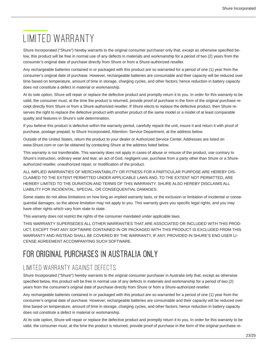## <span id="page-22-0"></span>LIMITED WARRANTY

Shure Incorporated ("Shure") hereby warrants to the original consumer purchaser only that, except as otherwise specified below, this product will be free in normal use of any defects in materials and workmanship for a period of two (2) years from the consumer's original date of purchase directly from Shure or from a Shure-authorized reseller.

Any rechargeable batteries contained in or packaged with this product are so warranted for a period of one (1) year from the consumer's original date of purchase. However, rechargeable batteries are consumable and their capacity will be reduced over time based on temperature, amount of time in storage, charging cycles, and other factors; hence reduction in battery capacity does not constitute a defect in material or workmanship.

At its sole option, Shure will repair or replace the defective product and promptly return it to you. In order for this warranty to be valid, the consumer must, at the time the product is returned, provide proof of purchase in the form of the original purchase receipt directly from Shure or from a Shure-authorized reseller. If Shure elects to replace the defective product, then Shure reserves the right to replace the defective product with another product of the same model or a model of at least comparable quality and features in Shure's sole determination.

If you believe this product is defective within the warranty period, carefully repack the unit, insure it and return it with proof of purchase, postage prepaid, to Shure Incorporated, Attention: Service Department, at the address below.

Outside of the United States, return the product to your dealer or Authorized Service Center. Addresses are listed on www.Shure.com or can be obtained by contacting Shure at the address listed below.

This warranty is not transferable. This warranty does not apply in cases of abuse or misuse of the product, use contrary to Shure's instruction, ordinary wear and tear, an act of God, negligent use, purchase from a party other than Shure or a Shureauthorized reseller, unauthorized repair, or modification of the product.

ALL IMPLIED WARRANTIES OF MERCHANTABILITY OR FITNESS FOR A PARTICULAR PURPOSE ARE HEREBY DIS-CLAIMED TO THE EXTENT PERMITTED UNDER APPLICABLE LAWS AND, TO THE EXTENT NOT PERMITTED, ARE HEREBY LIMITED TO THE DURATION AND TERMS OF THIS WARRANTY. SHURE ALSO HEREBY DISCLAIMS ALL LIABILITY FOR INCIDENTAL, SPECIAL, OR CONSEQUENTIAL DAMAGES.

Some states do not allow limitations on how long an implied warranty lasts, or the exclusion or limitation of incidental or consequential damages, so the above limitation may not apply to you. This warranty gives you specific legal rights, and you may have other rights which vary from state to state.

This warranty does not restrict the rights of the consumer mandated under applicable laws.

THIS WARRANTY SUPERSEDES ALL OTHER WARRANTIES THAT ARE ASSOCIATED OR INCLUDED WITH THIS PROD-UCT, EXCEPT THAT ANY SOFTWARE CONTAINED IN OR PACKAGED WITH THIS PRODUCT IS EXCLUDED FROM THIS WARRANTY AND INSTEAD SHALL BE COVERED BY THE WARRANTY, IF ANY, PROVIDED IN SHURE'S END USER LI-CENSE AGREEMENT ACCOMPANYING SUCH SOFTWARE.

## <span id="page-22-1"></span>FOR ORIGINAL PURCHASES IN AUSTRALIA ONLY

### LIMITED WARRANTY AGAINST DEFECTS

Shure Incorporated ("Shure") hereby warrants to the original consumer purchaser in Australia only that, except as otherwise specified below, this product will be free in normal use of any defects in materials and workmanship for a period of two (2) years from the consumer's original date of purchase directly from Shure or from a Shure-authorized reseller.

Any rechargeable batteries contained in or packaged with this product are so warranted for a period of one (1) year from the consumer's original date of purchase. However, rechargeable batteries are consumable and their capacity will be reduced over time based on temperature, amount of time in storage, charging cycles, and other factors; hence reduction in battery capacity does not constitute a defect in material or workmanship.

At its sole option, Shure will repair or replace the defective product and promptly return it to you. In order for this warranty to be valid, the consumer must, at the time the product is returned, provide proof of purchase in the form of the original purchase re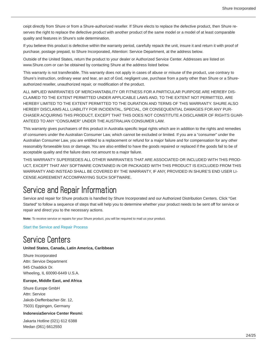ceipt directly from Shure or from a Shure-authorized reseller. If Shure elects to replace the defective product, then Shure reserves the right to replace the defective product with another product of the same model or a model of at least comparable quality and features in Shure's sole determination.

If you believe this product is defective within the warranty period, carefully repack the unit, insure it and return it with proof of purchase, postage prepaid, to Shure Incorporated, Attention: Service Department, at the address below.

Outside of the United States, return the product to your dealer or Authorized Service Center. Addresses are listed on www.Shure.com or can be obtained by contacting Shure at the address listed below.

This warranty is not transferable. This warranty does not apply in cases of abuse or misuse of the product, use contrary to Shure's instruction, ordinary wear and tear, an act of God, negligent use, purchase from a party other than Shure or a Shureauthorized reseller, unauthorized repair, or modification of the product.

ALL IMPLIED WARRANTIES OF MERCHANTABILITY OR FITNESS FOR A PARTICULAR PURPOSE ARE HEREBY DIS-CLAIMED TO THE EXTENT PERMITTED UNDER APPLICABLE LAWS AND, TO THE EXTENT NOT PERMITTED, ARE HEREBY LIMITED TO THE EXTENT PERMITTED TO THE DURATION AND TERMS OF THIS WARRANTY. SHURE ALSO HEREBY DISCLAIMS ALL LIABILITY FOR INCIDENTAL, SPECIAL, OR CONSEQUENTIAL DAMAGES FOR ANY PUR-CHASER ACQUIRING THIS PRODUCT, EXCEPT THAT THIS DOES NOT CONSTITUTE A DISCLAIMER OF RIGHTS GUAR-ANTEED TO ANY "CONSUMER" UNDER THE AUSTRALIAN CONSUMER LAW.

This warranty gives purchasers of this product in Australia specific legal rights which are in addition to the rights and remedies of consumers under the Australian Consumer Law, which cannot be excluded or limited. If you are a "consumer" under the Australian Consumer Law, you are entitled to a replacement or refund for a major failure and for compensation for any other reasonably forseeable loss or damage. You are also entitled to have the goods repaired or replaced if the goods fail to be of acceptable quality and the failure does not amount to a major failure.

THIS WARRANTY SUPERSEDES ALL OTHER WARRANTIES THAT ARE ASSOCIATED OR INCLUDED WITH THIS PROD-UCT, EXCEPT THAT ANY SOFTWARE CONTAINED IN OR PACKAGED WITH THIS PRODUCT IS EXCLUDED FROM THIS WARRANTY AND INSTEAD SHALL BE COVERED BY THE WARRANTY, IF ANY, PROVIDED IN SHURE'S END USER LI-CENSE AGREEMENT ACCOMPANYING SUCH SOFTWARE.

## <span id="page-23-0"></span>Service and Repair Information

Service and repair for Shure products is handled by Shure Incorporated and our Authorized Distribution Centers. Click "Get Started" to follow a sequence of steps that will help you to determine whether your product needs to be sent off for service or repair and direct you to the necessary actions.

**Note:** To receive service or repairs for your Shure product, you will be required to mail us your product.

[Start the Service and Repair Process](http://www.shure.com/americas/support/service-repair#step-1)

### <span id="page-23-1"></span>Service Centers

#### **United States, Canada, Latin America, Caribbean**

Shure Incorporated Attn: Service Department 945 Chaddick Dr. Wheeling, IL 60090-6449 U.S.A.

#### **Europe, Middle East, and Africa**

Shure Europe GmbH Attn: Service Jakob-Dieffenbacher-Str. 12, 75031 Eppingen, Germany

#### **IndonesiaService Center Resmi:**

Jakarta Hotline (021) 612 6388 Medan (061) 6612550